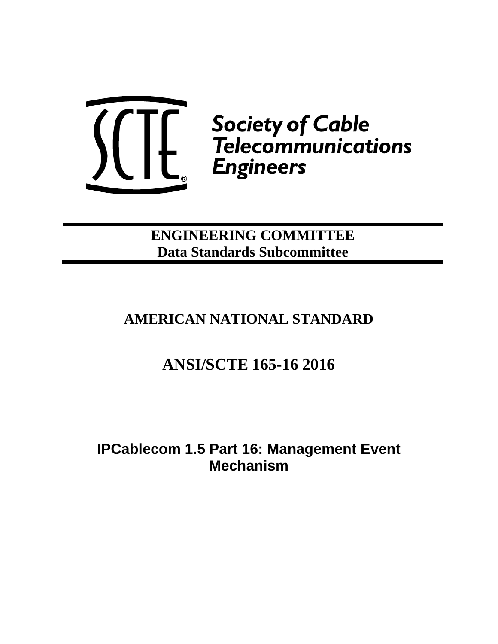

**ENGINEERING COMMITTEE Data Standards Subcommittee**

# **AMERICAN NATIONAL STANDARD**

# **ANSI/SCTE 165-16 2016**

<span id="page-0-0"></span>**IPCablecom 1.5 Part 16: Management Event Mechanism**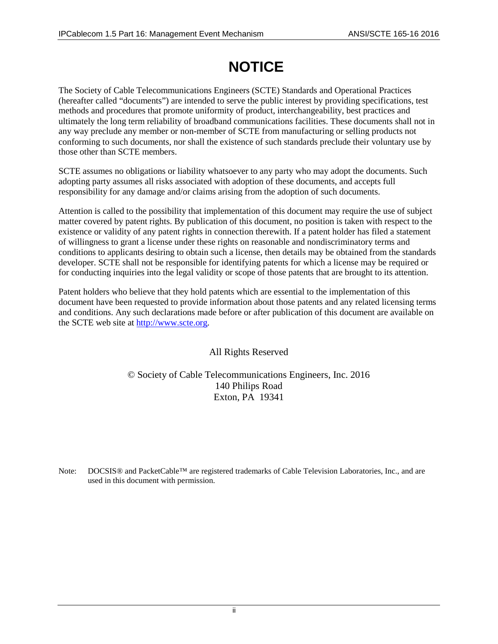# **NOTICE**

The Society of Cable Telecommunications Engineers (SCTE) Standards and Operational Practices (hereafter called "documents") are intended to serve the public interest by providing specifications, test methods and procedures that promote uniformity of product, interchangeability, best practices and ultimately the long term reliability of broadband communications facilities. These documents shall not in any way preclude any member or non-member of SCTE from manufacturing or selling products not conforming to such documents, nor shall the existence of such standards preclude their voluntary use by those other than SCTE members.

SCTE assumes no obligations or liability whatsoever to any party who may adopt the documents. Such adopting party assumes all risks associated with adoption of these documents, and accepts full responsibility for any damage and/or claims arising from the adoption of such documents.

Attention is called to the possibility that implementation of this document may require the use of subject matter covered by patent rights. By publication of this document, no position is taken with respect to the existence or validity of any patent rights in connection therewith. If a patent holder has filed a statement of willingness to grant a license under these rights on reasonable and nondiscriminatory terms and conditions to applicants desiring to obtain such a license, then details may be obtained from the standards developer. SCTE shall not be responsible for identifying patents for which a license may be required or for conducting inquiries into the legal validity or scope of those patents that are brought to its attention.

Patent holders who believe that they hold patents which are essential to the implementation of this document have been requested to provide information about those patents and any related licensing terms and conditions. Any such declarations made before or after publication of this document are available on the SCTE web site at [http://www.scte.org.](http://www.scte.org/)

All Rights Reserved

© Society of Cable Telecommunications Engineers, Inc. 2016 140 Philips Road Exton, PA 19341

Note: DOCSIS<sup>®</sup> and PacketCable™ are registered trademarks of Cable Television Laboratories, Inc., and are used in this document with permission.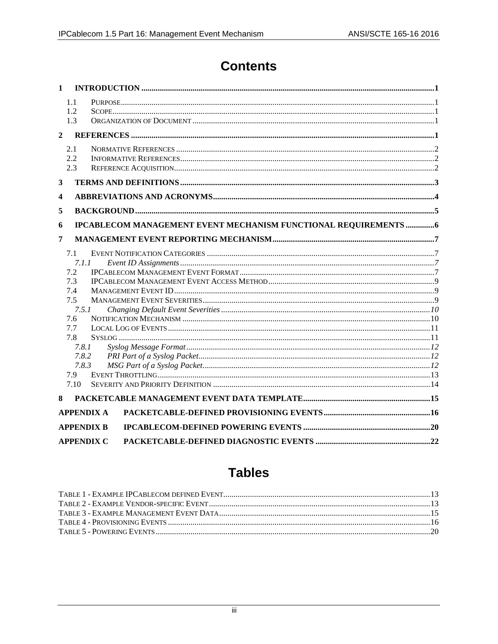# **Contents**

| $\mathbf{1}$   |                                                                                                                  |                                                                  |  |
|----------------|------------------------------------------------------------------------------------------------------------------|------------------------------------------------------------------|--|
|                | 1.1<br>1.2<br>1.3                                                                                                |                                                                  |  |
| $\overline{2}$ |                                                                                                                  |                                                                  |  |
|                | 2.1<br>2.2<br>2.3                                                                                                |                                                                  |  |
| 3              |                                                                                                                  |                                                                  |  |
| 4              |                                                                                                                  |                                                                  |  |
| 5              |                                                                                                                  |                                                                  |  |
| 6              |                                                                                                                  | IPCABLECOM MANAGEMENT EVENT MECHANISM FUNCTIONAL REQUIREMENTS  6 |  |
| 7              |                                                                                                                  |                                                                  |  |
|                | 7.1<br>7.1.1<br>7.2<br>7.3<br>7.4<br>7.5<br>7.5.1<br>7.6<br>7.7<br>7.8<br>7.8.1<br>7.8.2<br>7.8.3<br>7.9<br>7.10 |                                                                  |  |
| 8              |                                                                                                                  |                                                                  |  |
|                |                                                                                                                  | <b>APPENDIX A</b>                                                |  |
|                | <b>APPENDIX B</b>                                                                                                |                                                                  |  |
|                |                                                                                                                  | <b>APPENDIX C</b>                                                |  |

# **Tables**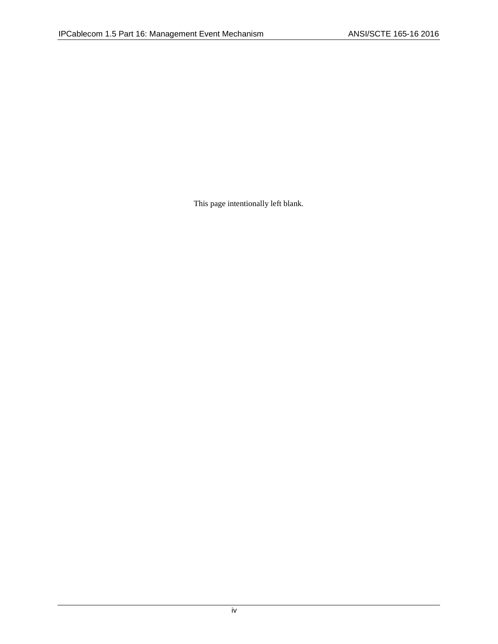This page intentionally left blank.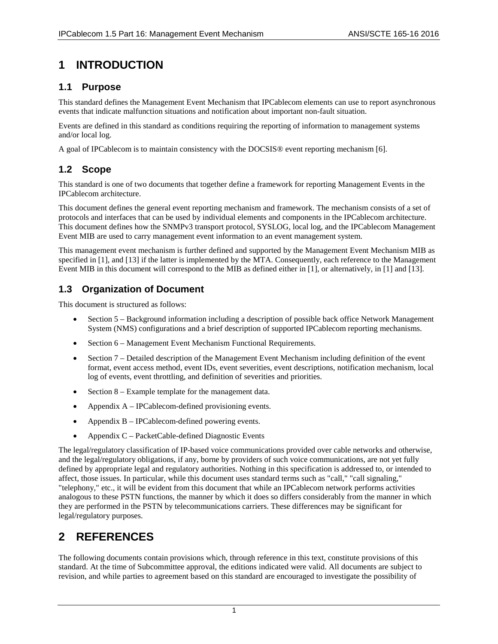## <span id="page-4-0"></span>**1 INTRODUCTION**

### <span id="page-4-1"></span>**1.1 Purpose**

This standard defines the Management Event Mechanism that IPCablecom elements can use to report asynchronous events that indicate malfunction situations and notification about important non-fault situation.

Events are defined in this standard as conditions requiring the reporting of information to management systems and/or local log.

A goal of IPCablecom is to maintain consistency with the DOCSIS® event reporting mechanism [\[6\].](#page-5-3)

### <span id="page-4-2"></span>**1.2 Scope**

This standard is one of two documents that together define a framework for reporting Management Events in the IPCablecom architecture.

This document defines the general event reporting mechanism and framework. The mechanism consists of a set of protocols and interfaces that can be used by individual elements and components in the IPCablecom architecture. This document defines how the SNMPv3 transport protocol, SYSLOG, local log, and the IPCablecom Management Event MIB are used to carry management event information to an event management system.

This management event mechanism is further defined and supported by the Management Event Mechanism MIB as specified in [\[1\],](#page-5-4) and [\[13\]](#page-5-5) if the latter is implemented by the MTA. Consequently, each reference to the Management Event MIB in this document will correspond to the MIB as defined either i[n \[1\],](#page-5-4) or alternatively, in [\[1\]](#page-5-4) and [\[13\].](#page-5-5)

## <span id="page-4-3"></span>**1.3 Organization of Document**

This document is structured as follows:

- Section [5](#page-8-0) Background information including a description of possible back office Network Management System (NMS) configurations and a brief description of supported IPCablecom reporting mechanisms.
- Section [6](#page-9-0) Management Event Mechanism Functional Requirements.
- Section [7](#page-10-0) Detailed description of the Management Event Mechanism including definition of the event format, event access method, event IDs, event severities, event descriptions, notification mechanism, local log of events, event throttling, and definition of severities and priorities.
- Section [8](#page-18-0) Example template for the management data.
- [Appendix A](#page-19-0) IPCablecom-defined provisioning events.
- [Appendix B](#page-23-0) IPCablecom-defined powering events.
- [Appendix C](#page-25-0) PacketCable-defined Diagnostic Events

The legal/regulatory classification of IP-based voice communications provided over cable networks and otherwise, and the legal/regulatory obligations, if any, borne by providers of such voice communications, are not yet fully defined by appropriate legal and regulatory authorities. Nothing in this specification is addressed to, or intended to affect, those issues. In particular, while this document uses standard terms such as "call," "call signaling," "telephony," etc., it will be evident from this document that while an IPCablecom network performs activities analogous to these PSTN functions, the manner by which it does so differs considerably from the manner in which they are performed in the PSTN by telecommunications carriers. These differences may be significant for legal/regulatory purposes.

## <span id="page-4-4"></span>**2 REFERENCES**

The following documents contain provisions which, through reference in this text, constitute provisions of this standard. At the time of Subcommittee approval, the editions indicated were valid. All documents are subject to revision, and while parties to agreement based on this standard are encouraged to investigate the possibility of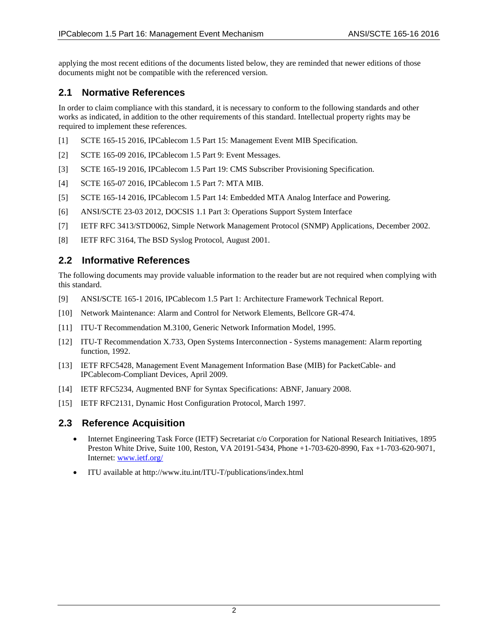applying the most recent editions of the documents listed below, they are reminded that newer editions of those documents might not be compatible with the referenced version.

### <span id="page-5-0"></span>**2.1 Normative References**

In order to claim compliance with this standard, it is necessary to conform to the following standards and other works as indicated, in addition to the other requirements of this standard. Intellectual property rights may be required to implement these references.

- <span id="page-5-4"></span>[1] SCTE 165-15 2016, IPCablecom 1.5 Part 15: Management Event MIB Specification.
- <span id="page-5-8"></span>[2] SCTE 165-09 2016, IPCablecom 1.5 Part 9: Event Messages.
- <span id="page-5-7"></span>[3] SCTE 165-19 2016, IPCablecom 1.5 Part 19: CMS Subscriber Provisioning Specification.
- [4] SCTE 165-07 2016, IPCablecom 1.5 Part 7: MTA MIB.
- <span id="page-5-16"></span>[5] SCTE 165-14 2016, IPCablecom 1.5 Part 14: Embedded MTA Analog Interface and Powering.
- <span id="page-5-3"></span>[6] ANSI/SCTE 23-03 2012, DOCSIS 1.1 Part 3: Operations Support System Interface
- <span id="page-5-10"></span>[7] IETF RFC 3413/STD0062, Simple Network Management Protocol (SNMP) Applications, December 2002.
- <span id="page-5-9"></span>[8] IETF RFC 3164, The BSD Syslog Protocol, August 2001.

### <span id="page-5-1"></span>**2.2 Informative References**

The following documents may provide valuable information to the reader but are not required when complying with this standard.

- <span id="page-5-6"></span>[9] ANSI/SCTE 165-1 2016, IPCablecom 1.5 Part 1: Architecture Framework Technical Report.
- <span id="page-5-15"></span>[10] Network Maintenance: Alarm and Control for Network Elements, Bellcore GR-474.
- <span id="page-5-13"></span>[11] ITU-T Recommendation M.3100, Generic Network Information Model, 1995.
- <span id="page-5-14"></span>[12] ITU-T Recommendation X.733, Open Systems Interconnection - Systems management: Alarm reporting function, 1992.
- <span id="page-5-5"></span>[13] IETF RFC5428, Management Event Management Information Base (MIB) for PacketCable- and IPCablecom-Compliant Devices, April 2009.
- <span id="page-5-11"></span>[14] IETF RFC5234, Augmented BNF for Syntax Specifications: ABNF, January 2008.
- <span id="page-5-12"></span>[15] IETF RFC2131, Dynamic Host Configuration Protocol, March 1997.

### <span id="page-5-2"></span>**2.3 Reference Acquisition**

- Internet Engineering Task Force (IETF) Secretariat c/o Corporation for National Research Initiatives, 1895 Preston White Drive, Suite 100, Reston, VA 20191-5434, Phone +1-703-620-8990, Fax +1-703-620-9071, Internet: [www.ietf.org/](http://www.ietf.org/)
- ITU available at http://www.itu.int/ITU-T/publications/index.html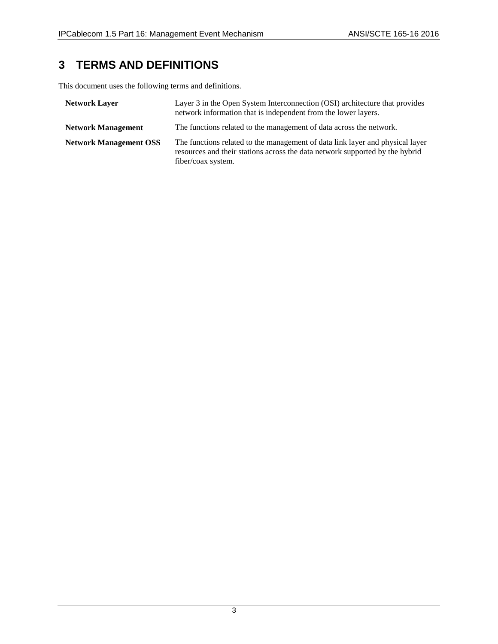## <span id="page-6-0"></span>**3 TERMS AND DEFINITIONS**

This document uses the following terms and definitions.

| <b>Network Layer</b>          | Layer 3 in the Open System Interconnection (OSI) architecture that provides<br>network information that is independent from the lower layers.                                       |  |  |  |
|-------------------------------|-------------------------------------------------------------------------------------------------------------------------------------------------------------------------------------|--|--|--|
| <b>Network Management</b>     | The functions related to the management of data across the network.                                                                                                                 |  |  |  |
| <b>Network Management OSS</b> | The functions related to the management of data link layer and physical layer<br>resources and their stations across the data network supported by the hybrid<br>fiber/coax system. |  |  |  |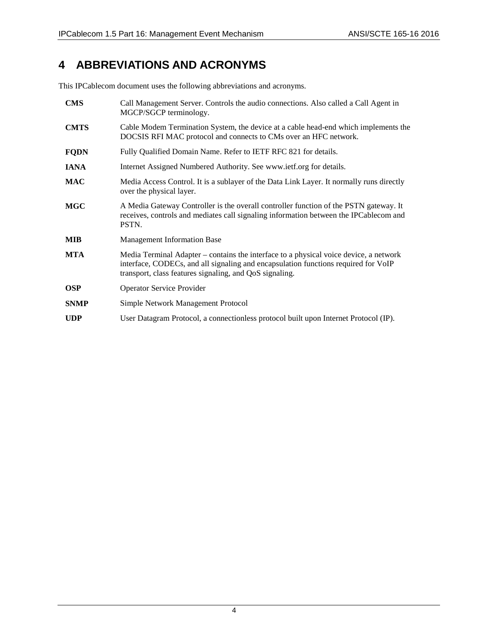## <span id="page-7-0"></span>**4 ABBREVIATIONS AND ACRONYMS**

This IPCablecom document uses the following abbreviations and acronyms.

| <b>CMS</b>  | Call Management Server. Controls the audio connections. Also called a Call Agent in<br>MGCP/SGCP terminology.                                                                                                                          |
|-------------|----------------------------------------------------------------------------------------------------------------------------------------------------------------------------------------------------------------------------------------|
| <b>CMTS</b> | Cable Modem Termination System, the device at a cable head-end which implements the<br>DOCSIS RFI MAC protocol and connects to CMs over an HFC network.                                                                                |
| <b>FQDN</b> | Fully Qualified Domain Name. Refer to IETF RFC 821 for details.                                                                                                                                                                        |
| <b>IANA</b> | Internet Assigned Numbered Authority. See www.ietf.org for details.                                                                                                                                                                    |
| <b>MAC</b>  | Media Access Control. It is a sublayer of the Data Link Layer. It normally runs directly<br>over the physical layer.                                                                                                                   |
| <b>MGC</b>  | A Media Gateway Controller is the overall controller function of the PSTN gateway. It<br>receives, controls and mediates call signaling information between the IPCablecom and<br>PSTN.                                                |
| <b>MIB</b>  | <b>Management Information Base</b>                                                                                                                                                                                                     |
| <b>MTA</b>  | Media Terminal Adapter – contains the interface to a physical voice device, a network<br>interface, CODECs, and all signaling and encapsulation functions required for VoIP<br>transport, class features signaling, and QoS signaling. |
| <b>OSP</b>  | <b>Operator Service Provider</b>                                                                                                                                                                                                       |
| <b>SNMP</b> | Simple Network Management Protocol                                                                                                                                                                                                     |
| <b>UDP</b>  | User Datagram Protocol, a connectionless protocol built upon Internet Protocol (IP).                                                                                                                                                   |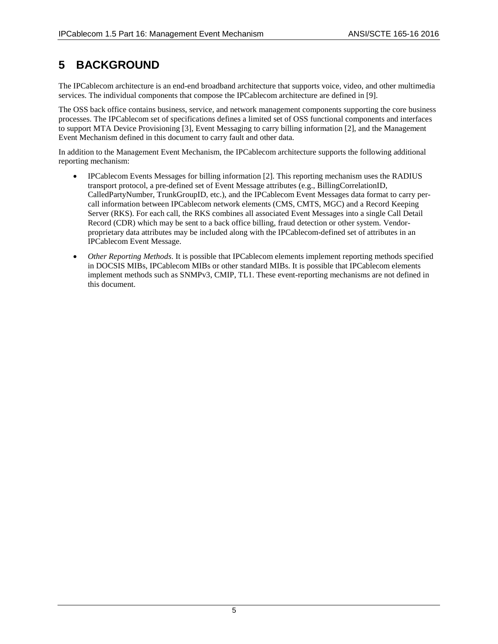## <span id="page-8-0"></span>**5 BACKGROUND**

The IPCablecom architecture is an end-end broadband architecture that supports voice, video, and other multimedia services. The individual components that compose the IPCablecom architecture are defined in [\[9\].](#page-5-6)

The OSS back office contains business, service, and network management components supporting the core business processes. The IPCablecom set of specifications defines a limited set of OSS functional components and interfaces to support MTA Device Provisioning [\[3\],](#page-5-7) Event Messaging to carry billing information [\[2\],](#page-5-8) and the Management Event Mechanism defined in this document to carry fault and other data.

In addition to the Management Event Mechanism, the IPCablecom architecture supports the following additional reporting mechanism:

- IPCablecom Events Messages for billing informatio[n \[2\].](#page-5-8) This reporting mechanism uses the RADIUS transport protocol, a pre-defined set of Event Message attributes (e.g., BillingCorrelationID, CalledPartyNumber, TrunkGroupID, etc.), and the IPCablecom Event Messages data format to carry percall information between IPCablecom network elements (CMS, CMTS, MGC) and a Record Keeping Server (RKS). For each call, the RKS combines all associated Event Messages into a single Call Detail Record (CDR) which may be sent to a back office billing, fraud detection or other system. Vendorproprietary data attributes may be included along with the IPCablecom-defined set of attributes in an IPCablecom Event Message.
- *Other Reporting Methods*. It is possible that IPCablecom elements implement reporting methods specified in DOCSIS MIBs, IPCablecom MIBs or other standard MIBs. It is possible that IPCablecom elements implement methods such as SNMPv3, CMIP, TL1. These event-reporting mechanisms are not defined in this document.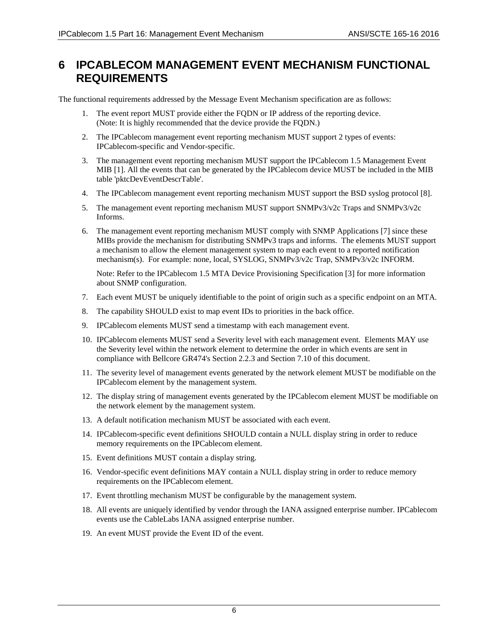## <span id="page-9-0"></span>**6 IPCABLECOM MANAGEMENT EVENT MECHANISM FUNCTIONAL REQUIREMENTS**

The functional requirements addressed by the Message Event Mechanism specification are as follows:

- 1. The event report MUST provide either the FQDN or IP address of the reporting device. (Note: It is highly recommended that the device provide the FQDN.)
- 2. The IPCablecom management event reporting mechanism MUST support 2 types of events: IPCablecom-specific and Vendor-specific.
- 3. The management event reporting mechanism MUST support the IPCablecom 1.5 Management Event MIB [\[1\].](#page-5-4) All the events that can be generated by the IPCablecom device MUST be included in the MIB table 'pktcDevEventDescrTable'.
- 4. The IPCablecom management event reporting mechanism MUST support the BSD syslog protocol [\[8\].](#page-5-9)
- 5. The management event reporting mechanism MUST support SNMPv3/v2c Traps and SNMPv3/v2c Informs.
- 6. The management event reporting mechanism MUST comply with SNMP Applications [\[7\]](#page-5-10) since these MIBs provide the mechanism for distributing SNMPv3 traps and informs. The elements MUST support a mechanism to allow the element management system to map each event to a reported notification mechanism(s). For example: none, local, SYSLOG, SNMPv3/v2c Trap, SNMPv3/v2c INFORM.

Note: Refer to the IPCablecom 1.5 MTA Device Provisioning Specification [\[3\]](#page-5-7) for more information about SNMP configuration.

- 7. Each event MUST be uniquely identifiable to the point of origin such as a specific endpoint on an MTA.
- 8. The capability SHOULD exist to map event IDs to priorities in the back office.
- 9. IPCablecom elements MUST send a timestamp with each management event.
- 10. IPCablecom elements MUST send a Severity level with each management event. Elements MAY use the Severity level within the network element to determine the order in which events are sent in compliance with Bellcore GR474's Section 2.2.3 and Section [7.10](#page-17-0) of this document.
- 11. The severity level of management events generated by the network element MUST be modifiable on the IPCablecom element by the management system.
- 12. The display string of management events generated by the IPCablecom element MUST be modifiable on the network element by the management system.
- 13. A default notification mechanism MUST be associated with each event.
- 14. IPCablecom-specific event definitions SHOULD contain a NULL display string in order to reduce memory requirements on the IPCablecom element.
- 15. Event definitions MUST contain a display string.
- 16. Vendor-specific event definitions MAY contain a NULL display string in order to reduce memory requirements on the IPCablecom element.
- 17. Event throttling mechanism MUST be configurable by the management system.
- 18. All events are uniquely identified by vendor through the IANA assigned enterprise number. IPCablecom events use the CableLabs IANA assigned enterprise number.
- 19. An event MUST provide the Event ID of the event.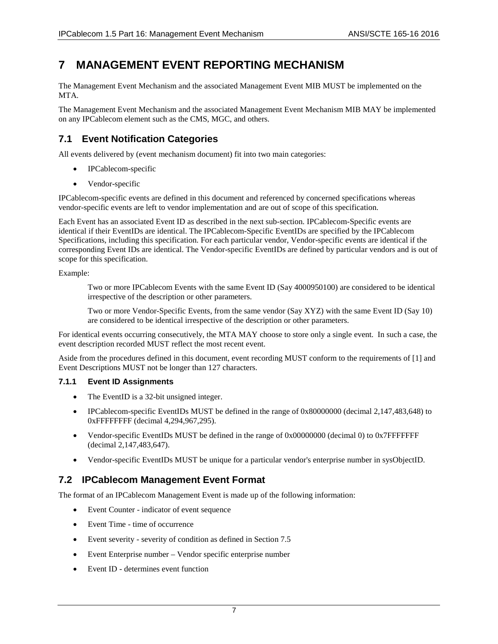## <span id="page-10-0"></span>**7 MANAGEMENT EVENT REPORTING MECHANISM**

The Management Event Mechanism and the associated Management Event MIB MUST be implemented on the MTA.

The Management Event Mechanism and the associated Management Event Mechanism MIB MAY be implemented on any IPCablecom element such as the CMS, MGC, and others.

### <span id="page-10-1"></span>**7.1 Event Notification Categories**

All events delivered by (event mechanism document) fit into two main categories:

- IPCablecom-specific
- Vendor-specific

IPCablecom-specific events are defined in this document and referenced by concerned specifications whereas vendor-specific events are left to vendor implementation and are out of scope of this specification.

Each Event has an associated Event ID as described in the next sub-section. IPCablecom-Specific events are identical if their EventIDs are identical. The IPCablecom-Specific EventIDs are specified by the IPCablecom Specifications, including this specification. For each particular vendor, Vendor-specific events are identical if the corresponding Event IDs are identical. The Vendor-specific EventIDs are defined by particular vendors and is out of scope for this specification.

Example:

Two or more IPCablecom Events with the same Event ID (Say 4000950100) are considered to be identical irrespective of the description or other parameters.

Two or more Vendor-Specific Events, from the same vendor (Say XYZ) with the same Event ID (Say 10) are considered to be identical irrespective of the description or other parameters.

For identical events occurring consecutively, the MTA MAY choose to store only a single event. In such a case, the event description recorded MUST reflect the most recent event.

Aside from the procedures defined in this document, event recording MUST conform to the requirements of [\[1\]](#page-5-4) and Event Descriptions MUST not be longer than 127 characters.

#### <span id="page-10-2"></span>**7.1.1 Event ID Assignments**

- The EventID is a 32-bit unsigned integer.
- IPCablecom-specific EventIDs MUST be defined in the range of 0x80000000 (decimal 2,147,483,648) to 0xFFFFFFFF (decimal 4,294,967,295).
- Vendor-specific EventIDs MUST be defined in the range of 0x00000000 (decimal 0) to 0x7FFFFFFF (decimal 2,147,483,647).
- Vendor-specific EventIDs MUST be unique for a particular vendor's enterprise number in sysObjectID.

### <span id="page-10-3"></span>**7.2 IPCablecom Management Event Format**

The format of an IPCablecom Management Event is made up of the following information:

- Event Counter indicator of event sequence
- Event Time time of occurrence
- Event severity severity of condition as defined in Section [7.5](#page-12-2)
- Event Enterprise number Vendor specific enterprise number
- Event ID determines event function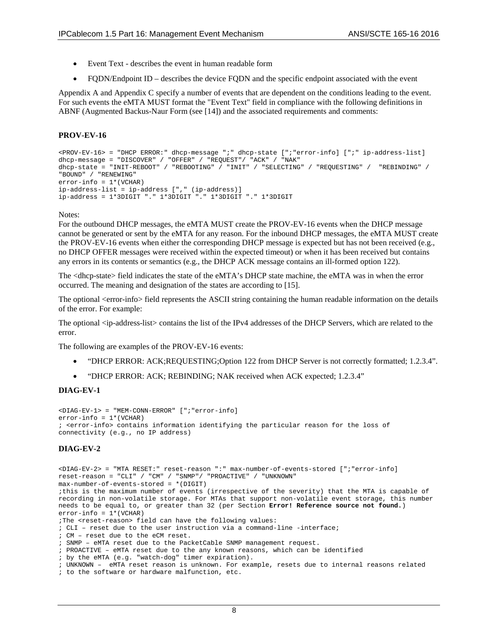- Event Text describes the event in human readable form
- FQDN/Endpoint ID describes the device FQDN and the specific endpoint associated with the event

[Appendix A](#page-19-0) and [Appendix C](#page-25-0) specify a number of events that are dependent on the conditions leading to the event. For such events the eMTA MUST format the "Event Text" field in compliance with the following definitions in ABNF (Augmented Backus-Naur Form (se[e \[14\]\)](#page-5-11) and the associated requirements and comments:

#### **PROV-EV-16**

```
<PROV-EV-16> = "DHCP ERROR:" dhcp-message ";" dhcp-state [";"error-info] [";" ip-address-list]
dhcp-message = "DISCOVER" / "OFFER" / "REQUEST"/ "ACK" / "NAK"
dhcp-state = "INIT-REBOOT" / "REBOOTING" / "INIT" / "SELECTING" / "REQUESTING" / "REBINDING" / 
"BOUND" / "RENEWING"
error-info = 1*(VCHAR)ip-address-list = ip-address ["," (ip-address)]
ip-address = 1*3DIGIT "." 1*3DIGIT "." 1*3DIGIT "." 1*3DIGIT
```
Notes:

For the outbound DHCP messages, the eMTA MUST create the PROV-EV-16 events when the DHCP message cannot be generated or sent by the eMTA for any reason. For the inbound DHCP messages, the eMTA MUST create the PROV-EV-16 events when either the corresponding DHCP message is expected but has not been received (e.g., no DHCP OFFER messages were received within the expected timeout) or when it has been received but contains any errors in its contents or semantics (e.g., the DHCP ACK message contains an ill-formed option 122).

The <dhcp-state> field indicates the state of the eMTA's DHCP state machine, the eMTA was in when the error occurred. The meaning and designation of the states are according t[o \[15\].](#page-5-12)

The optional <error-info> field represents the ASCII string containing the human readable information on the details of the error. For example:

The optional <ip-address-list> contains the list of the IPv4 addresses of the DHCP Servers, which are related to the error.

The following are examples of the PROV-EV-16 events:

- "DHCP ERROR: ACK;REQUESTING;Option 122 from DHCP Server is not correctly formatted; 1.2.3.4".
- "DHCP ERROR: ACK; REBINDING; NAK received when ACK expected; 1.2.3.4"

#### **DIAG-EV-1**

```
<DIAG-EV-1> = "MEM-CONN-ERROR" [";"error-info]
error-info = 1*(VCHAR); <error-info> contains information identifying the particular reason for the loss of 
connectivity (e.g., no IP address)
```
#### **DIAG-EV-2**

```
<DIAG-EV-2> = "MTA RESET:" reset-reason ":" max-number-of-events-stored [";"error-info]
reset-reason = "CLI" / "CM" / "SNMP"/ "PROACTIVE" / "UNKNOWN"
max-number-of-events-stored = *(DIGIT)
;this is the maximum number of events (irrespective of the severity) that the MTA is capable of 
recording in non-volatile storage. For MTAs that support non-volatile event storage, this number 
needs to be equal to, or greater than 32 (per Section Error! Reference source not found.)
error-info = 1*(VCHAR);The <reset-reason> field can have the following values:
; CLI – reset due to the user instruction via a command-line -interface;
; CM – reset due to the eCM reset.
; SNMP – eMTA reset due to the PacketCable SNMP management request.
; PROACTIVE – eMTA reset due to the any known reasons, which can be identified 
; by the eMTA (e.g. "watch-dog" timer expiration). 
; UNKNOWN – eMTA reset reason is unknown. For example, resets due to internal reasons related 
; to the software or hardware malfunction, etc.
```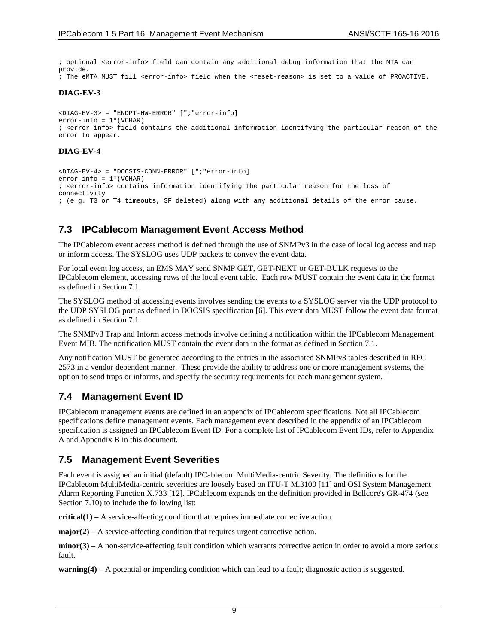; optional <error-info> field can contain any additional debug information that the MTA can provide. ; The eMTA MUST fill <error-info> field when the <reset-reason> is set to a value of PROACTIVE.

#### **DIAG-EV-3**

```
<DIAG-EV-3> = "ENDPT-HW-ERROR" [";"error-info]
error-info = 1*(VCHAR); <error-info> field contains the additional information identifying the particular reason of the 
error to appear.
```
#### **DIAG-EV-4**

```
<DIAG-EV-4> = "DOCSIS-CONN-ERROR" [";"error-info]
error-info = 1*(VCHAR); <error-info> contains information identifying the particular reason for the loss of 
connectivity
; (e.g. T3 or T4 timeouts, SF deleted) along with any additional details of the error cause.
```
#### <span id="page-12-0"></span>**7.3 IPCablecom Management Event Access Method**

The IPCablecom event access method is defined through the use of SNMPv3 in the case of local log access and trap or inform access. The SYSLOG uses UDP packets to convey the event data.

For local event log access, an EMS MAY send SNMP GET, GET-NEXT or GET-BULK requests to the IPCablecom element, accessing rows of the local event table. Each row MUST contain the event data in the format as defined in Section [7.1.](#page-10-1)

The SYSLOG method of accessing events involves sending the events to a SYSLOG server via the UDP protocol to the UDP SYSLOG port as defined in DOCSIS specification [\[6\].](#page-5-3) This event data MUST follow the event data format as defined in Section [7.1.](#page-10-1)

The SNMPv3 Trap and Inform access methods involve defining a notification within the IPCablecom Management Event MIB. The notification MUST contain the event data in the format as defined in Section [7.1.](#page-10-1)

Any notification MUST be generated according to the entries in the associated SNMPv3 tables described in RFC 2573 in a vendor dependent manner. These provide the ability to address one or more management systems, the option to send traps or informs, and specify the security requirements for each management system.

#### <span id="page-12-1"></span>**7.4 Management Event ID**

IPCablecom management events are defined in an appendix of IPCablecom specifications. Not all IPCablecom specifications define management events. Each management event described in the appendix of an IPCablecom specification is assigned an IPCablecom Event ID. For a complete list of IPCablecom Event IDs, refer to [Appendix](#page-19-0)  [A](#page-19-0) an[d Appendix B](#page-23-0) in this document.

#### <span id="page-12-2"></span>**7.5 Management Event Severities**

Each event is assigned an initial (default) IPCablecom MultiMedia-centric Severity. The definitions for the IPCablecom MultiMedia-centric severities are loosely based on ITU-T M.3100 [\[11\]](#page-5-13) and OSI System Management Alarm Reporting Function X.733 [\[12\].](#page-5-14) IPCablecom expands on the definition provided in Bellcore's GR-474 (see Section [7.10\)](#page-17-0) to include the following list:

**critical(1)** – A service-affecting condition that requires immediate corrective action.

**major(2)** – A service-affecting condition that requires urgent corrective action.

**minor(3)** – A non-service-affecting fault condition which warrants corrective action in order to avoid a more serious fault.

**warning(4)** – A potential or impending condition which can lead to a fault; diagnostic action is suggested.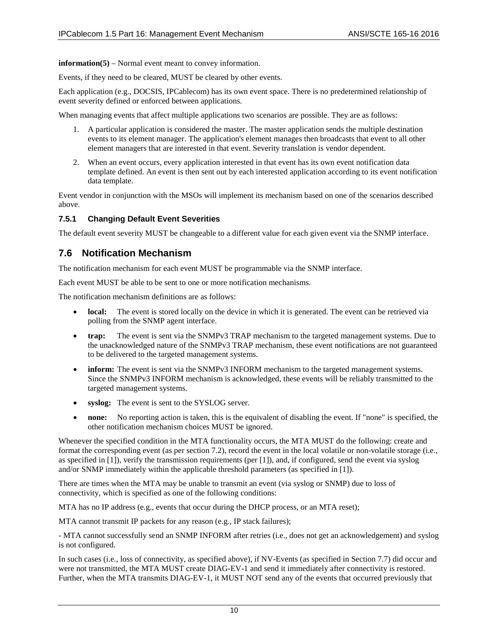**information(5)** – Normal event meant to convey information.

Events, if they need to be cleared, MUST be cleared by other events.

Each application (e.g., DOCSIS, IPCablecom) has its own event space. There is no predetermined relationship of event severity defined or enforced between applications.

When managing events that affect multiple applications two scenarios are possible. They are as follows:

- 1. A particular application is considered the master. The master application sends the multiple destination events to its element manager. The application's element manages then broadcasts that event to all other element managers that are interested in that event. Severity translation is vendor dependent.
- 2. When an event occurs, every application interested in that event has its own event notification data template defined. An event is then sent out by each interested application according to its event notification data template.

Event vendor in conjunction with the MSOs will implement its mechanism based on one of the scenarios described above.

#### <span id="page-13-0"></span>**7.5.1 Changing Default Event Severities**

The default event severity MUST be changeable to a different value for each given event via the SNMP interface.

### <span id="page-13-1"></span>**7.6 Notification Mechanism**

The notification mechanism for each event MUST be programmable via the SNMP interface.

Each event MUST be able to be sent to one or more notification mechanisms.

The notification mechanism definitions are as follows:

- **local:** The event is stored locally on the device in which it is generated. The event can be retrieved via polling from the SNMP agent interface.
- **trap:** The event is sent via the SNMPv3 TRAP mechanism to the targeted management systems. Due to the unacknowledged nature of the SNMPv3 TRAP mechanism, these event notifications are not guaranteed to be delivered to the targeted management systems.
- **inform:** The event is sent via the SNMPv3 INFORM mechanism to the targeted management systems. Since the SNMPv3 INFORM mechanism is acknowledged, these events will be reliably transmitted to the targeted management systems.
- **syslog:** The event is sent to the SYSLOG server.
- **none:** No reporting action is taken, this is the equivalent of disabling the event. If "none" is specified, the other notification mechanism choices MUST be ignored.

Whenever the specified condition in the MTA functionality occurs, the MTA MUST do the following: create and format the corresponding event (as per section 7.2), record the event in the local volatile or non-volatile storage (i.e., as specified in  $[1]$ ), verify the transmission requirements (per  $[1]$ ), and, if configured, send the event via syslog and/or SNMP immediately within the applicable threshold parameters (as specified i[n \[1\]\)](#page-5-4).

There are times when the MTA may be unable to transmit an event (via syslog or SNMP) due to loss of connectivity, which is specified as one of the following conditions:

MTA has no IP address (e.g., events that occur during the DHCP process, or an MTA reset);

MTA cannot transmit IP packets for any reason (e.g., IP stack failures);

- MTA cannot successfully send an SNMP INFORM after retries (i.e., does not get an acknowledgement) and syslog is not configured.

In such cases (i.e., loss of connectivity, as specified above), if NV-Events (as specified in Section [7.7\)](#page-14-0) did occur and were not transmitted, the MTA MUST create DIAG-EV-1 and send it immediately after connectivity is restored. Further, when the MTA transmits DIAG-EV-1, it MUST NOT send any of the events that occurred previously that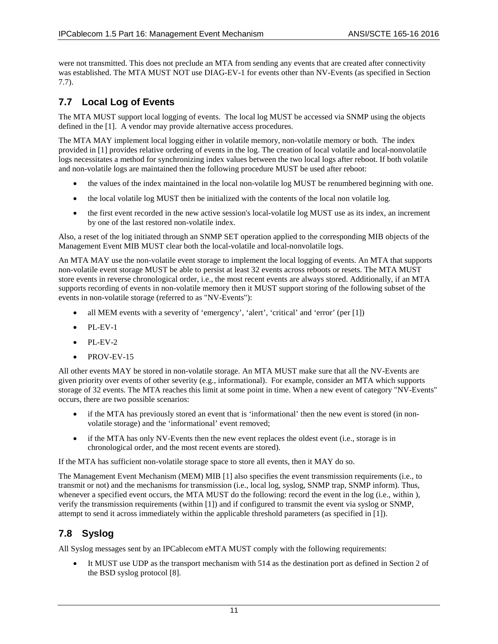were not transmitted. This does not preclude an MTA from sending any events that are created after connectivity was established. The MTA MUST NOT use DIAG-EV-1 for events other than NV-Events (as specified in Section [7.7\)](#page-14-0).

## <span id="page-14-0"></span>**7.7 Local Log of Events**

The MTA MUST support local logging of events. The local log MUST be accessed via SNMP using the objects defined in the [\[1\].](#page-5-4) A vendor may provide alternative access procedures.

The MTA MAY implement local logging either in volatile memory, non-volatile memory or both. The index provided in [\[1\]](#page-5-4) provides relative ordering of events in the log. The creation of local volatile and local-nonvolatile logs necessitates a method for synchronizing index values between the two local logs after reboot. If both volatile and non-volatile logs are maintained then the following procedure MUST be used after reboot:

- the values of the index maintained in the local non-volatile log MUST be renumbered beginning with one.
- the local volatile log MUST then be initialized with the contents of the local non volatile log.
- the first event recorded in the new active session's local-volatile log MUST use as its index, an increment by one of the last restored non-volatile index.

Also, a reset of the log initiated through an SNMP SET operation applied to the corresponding MIB objects of the Management Event MIB MUST clear both the local-volatile and local-nonvolatile logs.

An MTA MAY use the non-volatile event storage to implement the local logging of events. An MTA that supports non-volatile event storage MUST be able to persist at least 32 events across reboots or resets. The MTA MUST store events in reverse chronological order, i.e., the most recent events are always stored. Additionally, if an MTA supports recording of events in non-volatile memory then it MUST support storing of the following subset of the events in non-volatile storage (referred to as "NV-Events"):

- all MEM events with a severity of 'emergency', 'alert', 'critical' and 'error' (per [\[1\]\)](#page-5-4)
- PL-EV-1
- $\bullet$  PL-EV-2
- PROV-EV-15

All other events MAY be stored in non-volatile storage. An MTA MUST make sure that all the NV-Events are given priority over events of other severity (e.g., informational). For example, consider an MTA which supports storage of 32 events. The MTA reaches this limit at some point in time. When a new event of category "NV-Events" occurs, there are two possible scenarios:

- if the MTA has previously stored an event that is 'informational' then the new event is stored (in nonvolatile storage) and the 'informational' event removed;
- if the MTA has only NV-Events then the new event replaces the oldest event (i.e., storage is in chronological order, and the most recent events are stored).

If the MTA has sufficient non-volatile storage space to store all events, then it MAY do so.

The Management Event Mechanism (MEM) MIB [\[1\]](#page-5-4) also specifies the event transmission requirements (i.e., to transmit or not) and the mechanisms for transmission (i.e., local log, syslog, SNMP trap, SNMP inform). Thus, whenever a specified event occurs, the MTA MUST do the following: record the event in the log (i.e., within ), verify the transmission requirements (within [\[1\]\)](#page-5-4) and if configured to transmit the event via syslog or SNMP, attempt to send it across immediately within the applicable threshold parameters (as specified in [\[1\]\)](#page-5-4).

### <span id="page-14-1"></span>**7.8 Syslog**

All Syslog messages sent by an IPCablecom eMTA MUST comply with the following requirements:

• It MUST use UDP as the transport mechanism with 514 as the destination port as defined in Section 2 of the BSD syslog protoco[l \[8\].](#page-5-9)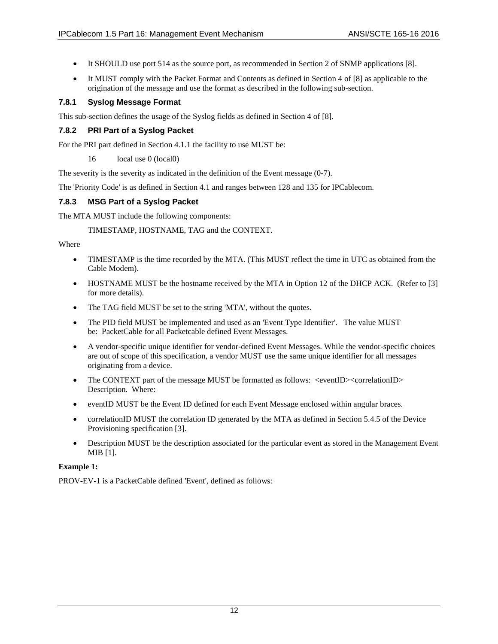- It SHOULD use port 514 as the source port, as recommended in Section 2 of SNMP applications [\[8\].](#page-5-9)
- It MUST comply with the Packet Format and Contents as defined in Section 4 of [\[8\]](#page-5-9) as applicable to the origination of the message and use the format as described in the following sub-section.

#### <span id="page-15-0"></span>**7.8.1 Syslog Message Format**

This sub-section defines the usage of the Syslog fields as defined in Section 4 of [\[8\].](#page-5-9)

#### <span id="page-15-1"></span>**7.8.2 PRI Part of a Syslog Packet**

For the PRI part defined in Section 4.1.1 the facility to use MUST be:

16 local use 0 (local0)

The severity is the severity as indicated in the definition of the Event message (0-7).

The 'Priority Code' is as defined in Section 4.1 and ranges between 128 and 135 for IPCablecom.

#### <span id="page-15-2"></span>**7.8.3 MSG Part of a Syslog Packet**

The MTA MUST include the following components:

TIMESTAMP, HOSTNAME, TAG and the CONTEXT.

#### Where

- TIMESTAMP is the time recorded by the MTA. (This MUST reflect the time in UTC as obtained from the Cable Modem).
- HOSTNAME MUST be the hostname received by the MTA in Option 12 of the DHCP ACK. (Refer to [\[3\]](#page-5-7) for more details).
- The TAG field MUST be set to the string 'MTA', without the quotes.
- The PID field MUST be implemented and used as an 'Event Type Identifier'. The value MUST be: PacketCable for all Packetcable defined Event Messages.
- A vendor-specific unique identifier for vendor-defined Event Messages. While the vendor-specific choices are out of scope of this specification, a vendor MUST use the same unique identifier for all messages originating from a device.
- The CONTEXT part of the message MUST be formatted as follows: <eventID><correlationID> Description. Where:
- event ID MUST be the Event ID defined for each Event Message enclosed within angular braces.
- correlationID MUST the correlation ID generated by the MTA as defined in Section 5.4.5 of the Device Provisioning specification [\[3\].](#page-5-7)
- Description MUST be the description associated for the particular event as stored in the Management Event MIB [\[1\].](#page-5-4)

#### **Example 1:**

PROV-EV-1 is a PacketCable defined 'Event', defined as follows: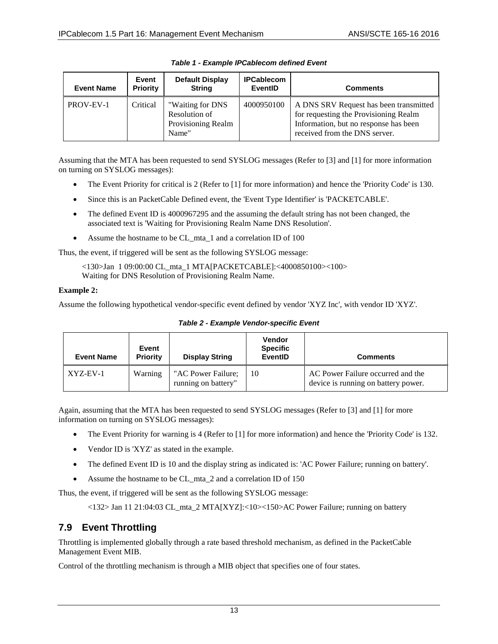<span id="page-16-1"></span>

| <b>Event Name</b> | Event<br><b>Priority</b> | <b>Default Display</b><br><b>String</b>                          | <b>IPCablecom</b><br>EventID | <b>Comments</b>                                                                                                                                           |
|-------------------|--------------------------|------------------------------------------------------------------|------------------------------|-----------------------------------------------------------------------------------------------------------------------------------------------------------|
| PROV-EV-1         | Critical                 | "Waiting for DNS<br>Resolution of<br>Provisioning Realm<br>Name" | 4000950100                   | A DNS SRV Request has been transmitted<br>for requesting the Provisioning Realm<br>Information, but no response has been<br>received from the DNS server. |

*Table 1 - Example IPCablecom defined Event*

Assuming that the MTA has been requested to send SYSLOG messages (Refer to [\[3\]](#page-5-7) and [\[1\]](#page-5-4) for more information on turning on SYSLOG messages):

- The Event Priority for critical is 2 (Refer to [\[1\]](#page-5-4) for more information) and hence the 'Priority Code' is 130.
- Since this is an PacketCable Defined event, the 'Event Type Identifier' is 'PACKETCABLE'.
- The defined Event ID is 4000967295 and the assuming the default string has not been changed, the associated text is 'Waiting for Provisioning Realm Name DNS Resolution'.
- Assume the hostname to be CL mta 1 and a correlation ID of 100

Thus, the event, if triggered will be sent as the following SYSLOG message:

<130>Jan 1 09:00:00 CL\_mta\_1 MTA[PACKETCABLE]:<4000850100><100> Waiting for DNS Resolution of Provisioning Realm Name.

#### **Example 2:**

<span id="page-16-2"></span>Assume the following hypothetical vendor-specific event defined by vendor 'XYZ Inc', with vendor ID 'XYZ'.

| <b>Event Name</b> | Event<br><b>Priority</b> | <b>Display String</b>                     | Vendor<br><b>Specific</b><br><b>EventID</b> | <b>Comments</b>                                                          |
|-------------------|--------------------------|-------------------------------------------|---------------------------------------------|--------------------------------------------------------------------------|
| $XYZ$ -EV-1       | Warning                  | "AC Power Failure;<br>running on battery" | 10                                          | AC Power Failure occurred and the<br>device is running on battery power. |

*Table 2 - Example Vendor-specific Event*

Again, assuming that the MTA has been requested to send SYSLOG messages (Refer to [\[3\]](#page-5-7) and [\[1\]](#page-5-4) for more information on turning on SYSLOG messages):

- The Event Priority for warning is 4 (Refer to [\[1\]](#page-5-4) for more information) and hence the 'Priority Code' is 132.
- Vendor ID is 'XYZ' as stated in the example.
- The defined Event ID is 10 and the display string as indicated is: 'AC Power Failure; running on battery'.
- Assume the hostname to be CL\_mta\_2 and a correlation ID of 150

Thus, the event, if triggered will be sent as the following SYSLOG message:

 $\langle 132 \rangle$  Jan 11 21:04:03 CL mta\_2 MTA[XYZ]: $\langle 10 \rangle \langle 150 \rangle$ AC Power Failure; running on battery

### <span id="page-16-0"></span>**7.9 Event Throttling**

Throttling is implemented globally through a rate based threshold mechanism, as defined in the PacketCable Management Event MIB.

Control of the throttling mechanism is through a MIB object that specifies one of four states.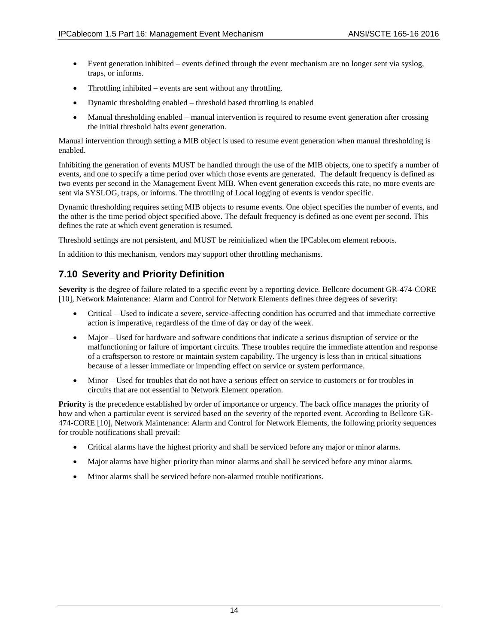- Event generation inhibited events defined through the event mechanism are no longer sent via syslog, traps, or informs.
- Throttling inhibited events are sent without any throttling.
- Dynamic thresholding enabled threshold based throttling is enabled
- Manual thresholding enabled manual intervention is required to resume event generation after crossing the initial threshold halts event generation.

Manual intervention through setting a MIB object is used to resume event generation when manual thresholding is enabled.

Inhibiting the generation of events MUST be handled through the use of the MIB objects, one to specify a number of events, and one to specify a time period over which those events are generated. The default frequency is defined as two events per second in the Management Event MIB. When event generation exceeds this rate, no more events are sent via SYSLOG, traps, or informs. The throttling of Local logging of events is vendor specific.

Dynamic thresholding requires setting MIB objects to resume events. One object specifies the number of events, and the other is the time period object specified above. The default frequency is defined as one event per second. This defines the rate at which event generation is resumed.

Threshold settings are not persistent, and MUST be reinitialized when the IPCablecom element reboots.

In addition to this mechanism, vendors may support other throttling mechanisms.

### <span id="page-17-0"></span>**7.10 Severity and Priority Definition**

**Severity** is the degree of failure related to a specific event by a reporting device. Bellcore document GR-474-CORE [\[10\],](#page-5-15) Network Maintenance: Alarm and Control for Network Elements defines three degrees of severity:

- Critical Used to indicate a severe, service-affecting condition has occurred and that immediate corrective action is imperative, regardless of the time of day or day of the week.
- Major Used for hardware and software conditions that indicate a serious disruption of service or the malfunctioning or failure of important circuits. These troubles require the immediate attention and response of a craftsperson to restore or maintain system capability. The urgency is less than in critical situations because of a lesser immediate or impending effect on service or system performance.
- Minor Used for troubles that do not have a serious effect on service to customers or for troubles in circuits that are not essential to Network Element operation.

**Priority** is the precedence established by order of importance or urgency. The back office manages the priority of how and when a particular event is serviced based on the severity of the reported event. According to Bellcore GR-474-CORE [\[10\],](#page-5-15) Network Maintenance: Alarm and Control for Network Elements, the following priority sequences for trouble notifications shall prevail:

- Critical alarms have the highest priority and shall be serviced before any major or minor alarms.
- Major alarms have higher priority than minor alarms and shall be serviced before any minor alarms.
- Minor alarms shall be serviced before non-alarmed trouble notifications.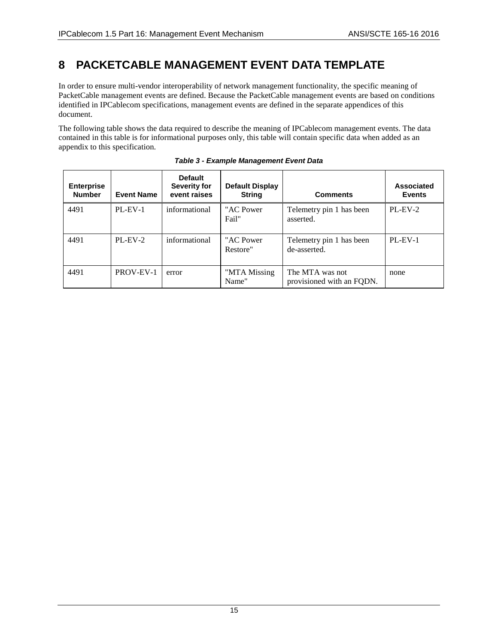## <span id="page-18-0"></span>**8 PACKETCABLE MANAGEMENT EVENT DATA TEMPLATE**

In order to ensure multi-vendor interoperability of network management functionality, the specific meaning of PacketCable management events are defined. Because the PacketCable management events are based on conditions identified in IPCablecom specifications, management events are defined in the separate appendices of this document.

The following table shows the data required to describe the meaning of IPCablecom management events. The data contained in this table is for informational purposes only, this table will contain specific data when added as an appendix to this specification.

<span id="page-18-1"></span>

| <b>Enterprise</b><br><b>Number</b> | <b>Event Name</b> | <b>Default</b><br><b>Severity for</b><br>event raises | <b>Default Display</b><br><b>String</b> | <b>Comments</b>                              | Associated<br><b>Events</b> |
|------------------------------------|-------------------|-------------------------------------------------------|-----------------------------------------|----------------------------------------------|-----------------------------|
| 4491                               | $PL$ -EV-1        | informational                                         | "AC Power<br>Fail"                      | Telemetry pin 1 has been<br>asserted.        | $PL$ -EV-2                  |
| 4491                               | $PL$ $EV-2$       | informational                                         | "AC Power<br>Restore"                   | Telemetry pin 1 has been<br>de-asserted.     | $PL$ -EV-1                  |
| 4491                               | PROV-EV-1         | error                                                 | "MTA Missing<br>Name"                   | The MTA was not<br>provisioned with an FQDN. | none                        |

#### *Table 3 - Example Management Event Data*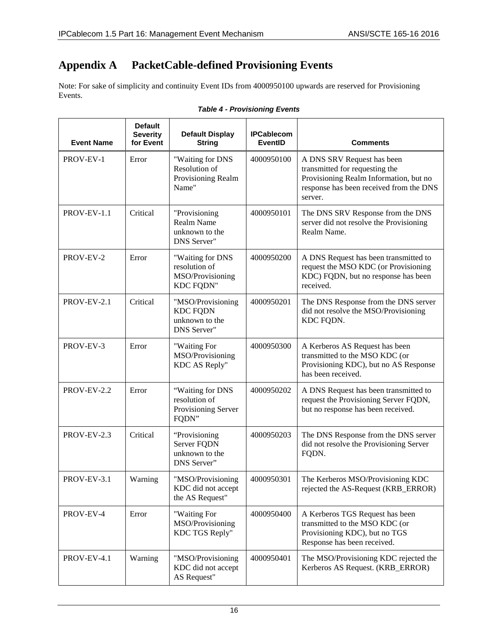## <span id="page-19-0"></span>**Appendix A PacketCable-defined Provisioning Events**

Note: For sake of simplicity and continuity Event IDs from 4000950100 upwards are reserved for Provisioning Events.

<span id="page-19-1"></span>

| <b>Event Name</b> | <b>Default</b><br><b>Severity</b><br>for Event                                     | <b>Default Display</b><br><b>String</b>                                           | <b>IPCablecom</b><br>EventID | <b>Comments</b>                                                                                                                                              |
|-------------------|------------------------------------------------------------------------------------|-----------------------------------------------------------------------------------|------------------------------|--------------------------------------------------------------------------------------------------------------------------------------------------------------|
| PROV-EV-1         | Error                                                                              | "Waiting for DNS<br>Resolution of<br>Provisioning Realm<br>Name"                  | 4000950100                   | A DNS SRV Request has been<br>transmitted for requesting the<br>Provisioning Realm Information, but no<br>response has been received from the DNS<br>server. |
| PROV-EV-1.1       | Critical                                                                           | 4000950101<br>"Provisioning<br>Realm Name<br>unknown to the<br><b>DNS</b> Server" |                              | The DNS SRV Response from the DNS<br>server did not resolve the Provisioning<br>Realm Name.                                                                  |
| PROV-EV-2         | Error<br>"Waiting for DNS<br>resolution of<br>MSO/Provisioning<br><b>KDC FQDN"</b> |                                                                                   | 4000950200                   | A DNS Request has been transmitted to<br>request the MSO KDC (or Provisioning<br>KDC) FQDN, but no response has been<br>received.                            |
| PROV-EV-2.1       | Critical                                                                           | "MSO/Provisioning<br><b>KDC FQDN</b><br>unknown to the<br><b>DNS</b> Server"      | 4000950201                   | The DNS Response from the DNS server<br>did not resolve the MSO/Provisioning<br>KDC FQDN.                                                                    |
| PROV-EV-3         | Error                                                                              | "Waiting For<br>MSO/Provisioning<br>KDC AS Reply"                                 | 4000950300                   | A Kerberos AS Request has been<br>transmitted to the MSO KDC (or<br>Provisioning KDC), but no AS Response<br>has been received.                              |
| PROV-EV-2.2       | Error                                                                              | "Waiting for DNS<br>resolution of<br>Provisioning Server<br>FQDN"                 | 4000950202                   | A DNS Request has been transmitted to<br>request the Provisioning Server FQDN,<br>but no response has been received.                                         |
| PROV-EV-2.3       | Critical                                                                           | "Provisioning<br>Server FQDN<br>unknown to the<br>DNS Server"                     | 4000950203                   | The DNS Response from the DNS server<br>did not resolve the Provisioning Server<br>FQDN.                                                                     |
| PROV-EV-3.1       | Warning                                                                            | "MSO/Provisioning<br>KDC did not accept<br>the AS Request"                        | 4000950301                   | The Kerberos MSO/Provisioning KDC<br>rejected the AS-Request (KRB_ERROR)                                                                                     |
| PROV-EV-4         | Error                                                                              | "Waiting For<br>MSO/Provisioning<br>KDC TGS Reply"                                | 4000950400                   | A Kerberos TGS Request has been<br>transmitted to the MSO KDC (or<br>Provisioning KDC), but no TGS<br>Response has been received.                            |
| PROV-EV-4.1       | Warning                                                                            | "MSO/Provisioning<br>KDC did not accept<br>AS Request"                            | 4000950401                   | The MSO/Provisioning KDC rejected the<br>Kerberos AS Request. (KRB_ERROR)                                                                                    |

|  |  |  |  |  | <b>Table 4 - Provisioning Events</b> |
|--|--|--|--|--|--------------------------------------|
|--|--|--|--|--|--------------------------------------|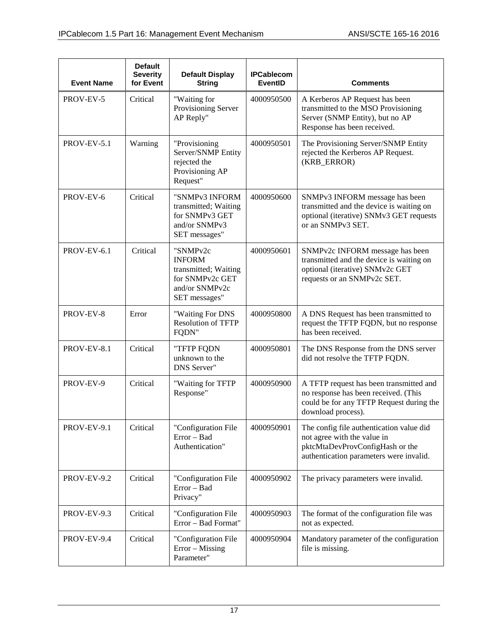| <b>Event Name</b>  | <b>Default</b><br><b>Severity</b><br>for Event | <b>Default Display</b><br><b>String</b>                                                                 | <b>IPCablecom</b><br><b>EventID</b> | <b>Comments</b>                                                                                                                                       |
|--------------------|------------------------------------------------|---------------------------------------------------------------------------------------------------------|-------------------------------------|-------------------------------------------------------------------------------------------------------------------------------------------------------|
| PROV-EV-5          | Critical                                       | "Waiting for<br>Provisioning Server<br>AP Reply"                                                        | 4000950500                          | A Kerberos AP Request has been<br>transmitted to the MSO Provisioning<br>Server (SNMP Entity), but no AP<br>Response has been received.               |
| PROV-EV-5.1        | Warning                                        | "Provisioning<br>Server/SNMP Entity<br>rejected the<br>Provisioning AP<br>Request"                      | 4000950501                          | The Provisioning Server/SNMP Entity<br>rejected the Kerberos AP Request.<br>(KRB_ERROR)                                                               |
| PROV-EV-6          | Critical                                       | "SNMPv3 INFORM<br>transmitted; Waiting<br>for SNMPv3 GET<br>and/or SNMPv3<br>SET messages"              | 4000950600                          | SNMPv3 INFORM message has been<br>transmitted and the device is waiting on<br>optional (iterative) SNMv3 GET requests<br>or an SNMPv3 SET.            |
| <b>PROV-EV-6.1</b> | Critical                                       | "SNMPv2c<br><b>INFORM</b><br>transmitted; Waiting<br>for SNMPv2c GET<br>and/or SNMPv2c<br>SET messages" | 4000950601                          | SNMPv2c INFORM message has been<br>transmitted and the device is waiting on<br>optional (iterative) SNMv2c GET<br>requests or an SNMPv2c SET.         |
| PROV-EV-8          | Error                                          | "Waiting For DNS<br><b>Resolution of TFTP</b><br>FQDN"                                                  | 4000950800                          | A DNS Request has been transmitted to<br>request the TFTP FQDN, but no response<br>has been received.                                                 |
| PROV-EV-8.1        | Critical                                       | "TFTP FQDN<br>unknown to the<br><b>DNS</b> Server"                                                      | 4000950801                          | The DNS Response from the DNS server<br>did not resolve the TFTP FQDN.                                                                                |
| PROV-EV-9          | Critical                                       | "Waiting for TFTP<br>Response"                                                                          | 4000950900                          | A TFTP request has been transmitted and<br>no response has been received. (This<br>could be for any TFTP Request during the<br>download process).     |
| PROV-EV-9.1        | Critical                                       | "Configuration File<br>Error - Bad<br>Authentication"                                                   | 4000950901                          | The config file authentication value did<br>not agree with the value in<br>pktcMtaDevProvConfigHash or the<br>authentication parameters were invalid. |
| PROV-EV-9.2        | Critical                                       | "Configuration File<br>Error - Bad<br>Privacy"                                                          | 4000950902                          | The privacy parameters were invalid.                                                                                                                  |
| PROV-EV-9.3        | Critical                                       | "Configuration File<br>Error - Bad Format"                                                              | 4000950903                          | The format of the configuration file was<br>not as expected.                                                                                          |
| PROV-EV-9.4        | Critical                                       | "Configuration File<br>Error – Missing<br>Parameter"                                                    | 4000950904                          | Mandatory parameter of the configuration<br>file is missing.                                                                                          |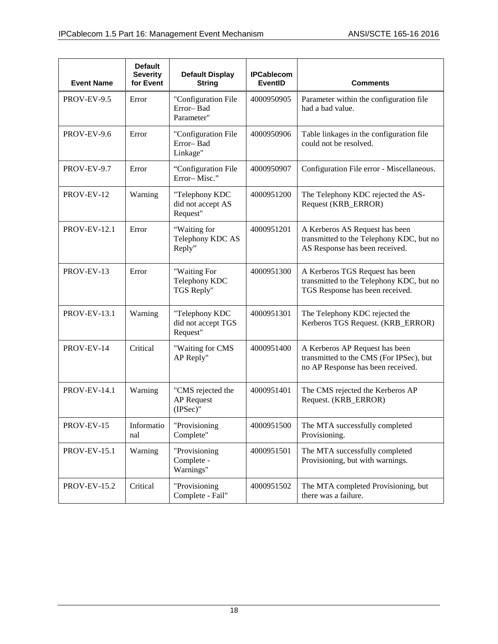| <b>Event Name</b>   | <b>Default</b><br><b>Severity</b><br>for Event | <b>Default Display</b><br><b>String</b>            | <b>IPCablecom</b><br>EventID | <b>Comments</b>                                                                                                |
|---------------------|------------------------------------------------|----------------------------------------------------|------------------------------|----------------------------------------------------------------------------------------------------------------|
| PROV-EV-9.5         | Error                                          | "Configuration File<br>Error-Bad<br>Parameter"     | 4000950905                   | Parameter within the configuration file<br>had a bad value.                                                    |
| PROV-EV-9.6         | Error                                          | "Configuration File<br>Error-Bad<br>Linkage"       | 4000950906                   | Table linkages in the configuration file<br>could not be resolved.                                             |
| PROV-EV-9.7         | Error                                          | "Configuration File<br>Error-Misc."                | 4000950907                   | Configuration File error - Miscellaneous.                                                                      |
| PROV-EV-12          | Warning                                        | "Telephony KDC<br>did not accept AS<br>Request"    | 4000951200                   | The Telephony KDC rejected the AS-<br>Request (KRB_ERROR)                                                      |
| <b>PROV-EV-12.1</b> | Error                                          | "Waiting for<br>Telephony KDC AS<br>Reply"         | 4000951201                   | A Kerberos AS Request has been<br>transmitted to the Telephony KDC, but no<br>AS Response has been received.   |
| PROV-EV-13          | Error                                          | "Waiting For<br>Telephony KDC<br>TGS Reply"        | 4000951300                   | A Kerberos TGS Request has been<br>transmitted to the Telephony KDC, but no<br>TGS Response has been received. |
| <b>PROV-EV-13.1</b> | Warning                                        | "Telephony KDC<br>did not accept TGS<br>Request"   | 4000951301                   | The Telephony KDC rejected the<br>Kerberos TGS Request. (KRB_ERROR)                                            |
| PROV-EV-14          | Critical                                       | "Waiting for CMS<br>AP Reply"                      | 4000951400                   | A Kerberos AP Request has been<br>transmitted to the CMS (For IPSec), but<br>no AP Response has been received. |
| <b>PROV-EV-14.1</b> | Warning                                        | "CMS rejected the<br><b>AP</b> Request<br>(IPSec)" | 4000951401                   | The CMS rejected the Kerberos AP<br>Request. (KRB_ERROR)                                                       |
| PROV-EV-15          | Informatio<br>nal                              | "Provisioning<br>Complete"                         | 4000951500                   | The MTA successfully completed<br>Provisioning.                                                                |
| <b>PROV-EV-15.1</b> | Warning                                        | "Provisioning<br>Complete -<br>Warnings"           | 4000951501                   | The MTA successfully completed<br>Provisioning, but with warnings.                                             |
| <b>PROV-EV-15.2</b> | Critical                                       | "Provisioning<br>Complete - Fail"                  | 4000951502                   | The MTA completed Provisioning, but<br>there was a failure.                                                    |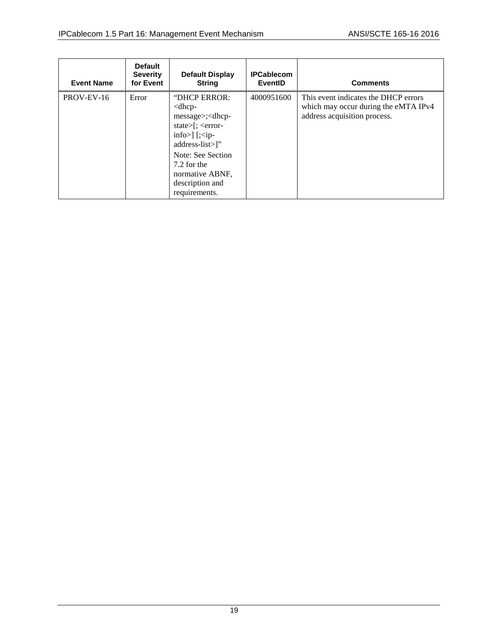| <b>Event Name</b> | <b>Default</b><br><b>Severity</b><br>for Event | <b>Default Display</b><br><b>String</b>                                                                                                                                                                                                                                                               | <b>IPCablecom</b><br>EventID | <b>Comments</b>                                                                                              |
|-------------------|------------------------------------------------|-------------------------------------------------------------------------------------------------------------------------------------------------------------------------------------------------------------------------------------------------------------------------------------------------------|------------------------------|--------------------------------------------------------------------------------------------------------------|
| PROV-EV-16        | Error                                          | "DHCP ERROR:<br>$<$ dhcp-<br>message>; <dhcp-<br>state<math>&gt;\left[ ; \right. &lt;</math>error-<br/><math>\infty</math>] [<math>\le</math>ip-<br/><math>address-list</math><sup>"</sup><br/>Note: See Section<br/>7.2 for the<br/>normative ABNF,<br/>description and<br/>requirements.</dhcp-<br> | 4000951600                   | This event indicates the DHCP errors<br>which may occur during the eMTA IPv4<br>address acquisition process. |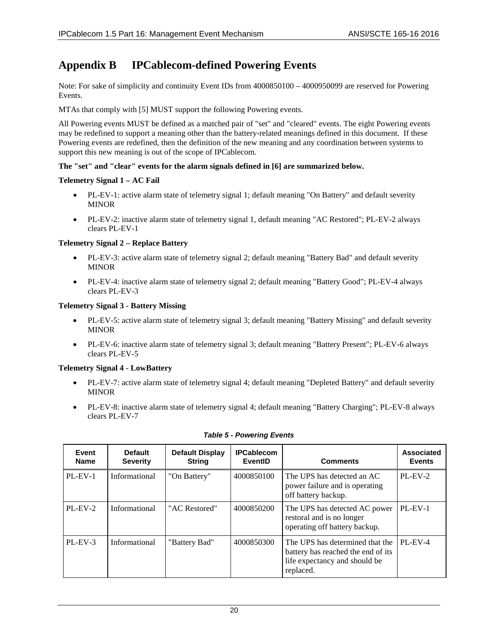## <span id="page-23-0"></span>**Appendix B IPCablecom-defined Powering Events**

Note: For sake of simplicity and continuity Event IDs from 4000850100 – 4000950099 are reserved for Powering Events.

MTAs that comply with [\[5\]](#page-5-16) MUST support the following Powering events.

All Powering events MUST be defined as a matched pair of "set" and "cleared" events. The eight Powering events may be redefined to support a meaning other than the battery-related meanings defined in this document. If these Powering events are redefined, then the definition of the new meaning and any coordination between systems to support this new meaning is out of the scope of IPCablecom.

#### **The "set" and "clear" events for the alarm signals defined in [\[6\]](#page-5-3) are summarized below.**

#### **Telemetry Signal 1 – AC Fail**

- PL-EV-1: active alarm state of telemetry signal 1; default meaning "On Battery" and default severity MINOR
- PL-EV-2: inactive alarm state of telemetry signal 1, default meaning "AC Restored"; PL-EV-2 always clears PL-EV-1

#### **Telemetry Signal 2 – Replace Battery**

- PL-EV-3: active alarm state of telemetry signal 2; default meaning "Battery Bad" and default severity **MINOR**
- PL-EV-4: inactive alarm state of telemetry signal 2; default meaning "Battery Good"; PL-EV-4 always clears PL-EV-3

#### **Telemetry Signal 3 - Battery Missing**

- PL-EV-5: active alarm state of telemetry signal 3; default meaning "Battery Missing" and default severity MINOR
- PL-EV-6: inactive alarm state of telemetry signal 3; default meaning "Battery Present"; PL-EV-6 always clears PL-EV-5

#### **Telemetry Signal 4 - LowBattery**

- PL-EV-7: active alarm state of telemetry signal 4; default meaning "Depleted Battery" and default severity MINOR
- PL-EV-8: inactive alarm state of telemetry signal 4; default meaning "Battery Charging"; PL-EV-8 always clears PL-EV-7

<span id="page-23-1"></span>

| Event<br><b>Name</b> | <b>Default</b><br><b>Severity</b> | <b>Default Display</b><br><b>String</b> | <b>IPCablecom</b><br>EventID | <b>Comments</b>                                                                                                     | Associated<br><b>Events</b> |
|----------------------|-----------------------------------|-----------------------------------------|------------------------------|---------------------------------------------------------------------------------------------------------------------|-----------------------------|
| $PL$ -EV-1           | Informational                     | "On Battery"                            | 4000850100                   | The UPS has detected an AC<br>power failure and is operating<br>off battery backup.                                 | $PL$ -EV-2                  |
| $PL$ -EV-2           | Informational                     | "AC Restored"                           | 4000850200                   | The UPS has detected AC power<br>restoral and is no longer<br>operating off battery backup.                         | $PL$ -EV-1                  |
| PL-EV-3              | Informational                     | "Battery Bad"                           | 4000850300                   | The UPS has determined that the<br>battery has reached the end of its<br>life expectancy and should be<br>replaced. | $PI$ <sub>-EV-4</sub>       |

#### *Table 5 - Powering Events*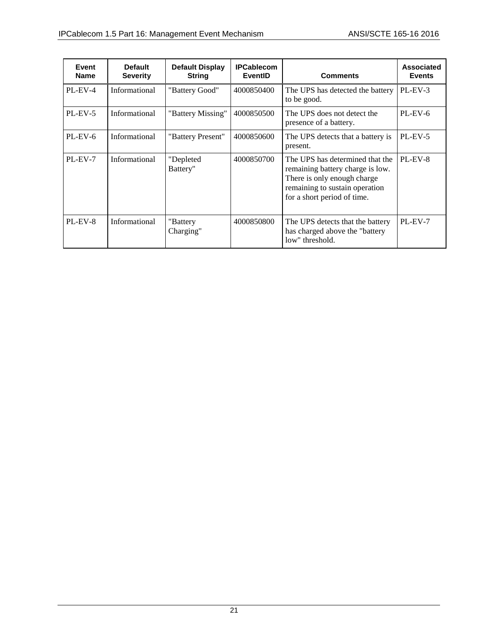| Event<br><b>Name</b> | <b>Default</b><br><b>Severity</b> | <b>Default Display</b><br><b>String</b> | <b>IPCablecom</b><br>EventID | <b>Comments</b>                                                                                                                                                     | Associated<br><b>Events</b> |
|----------------------|-----------------------------------|-----------------------------------------|------------------------------|---------------------------------------------------------------------------------------------------------------------------------------------------------------------|-----------------------------|
| PL-EV-4              | Informational                     | "Battery Good"                          | 4000850400                   | The UPS has detected the battery<br>to be good.                                                                                                                     | $PL-EV-3$                   |
| $PL$ -EV-5           | Informational                     | "Battery Missing"                       | 4000850500                   | The UPS does not detect the<br>presence of a battery.                                                                                                               | $PL$ -EV-6                  |
| $PL$ -EV-6           | Informational                     | "Battery Present"                       | 4000850600                   | The UPS detects that a battery is<br>present.                                                                                                                       | $PL-EV-5$                   |
| $PL$ -EV-7           | Informational                     | "Depleted<br>Battery"                   | 4000850700                   | The UPS has determined that the<br>remaining battery charge is low.<br>There is only enough charge<br>remaining to sustain operation<br>for a short period of time. | PL-EV-8                     |
| PL-EV-8              | Informational                     | "Battery<br>Charging"                   | 4000850800                   | The UPS detects that the battery<br>has charged above the "battery<br>low" threshold.                                                                               | PL-EV-7                     |